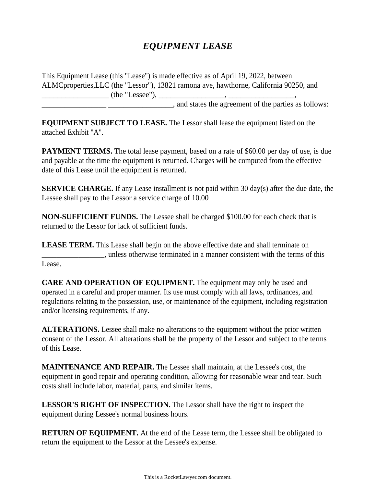## *EQUIPMENT LEASE*

This Equipment Lease (this "Lease") is made effective as of April 19, 2022, between ALMCproperties,LLC (the "Lessor"), 13821 ramona ave, hawthorne, California 90250, and \_\_\_\_\_\_\_\_\_\_\_\_\_\_\_\_\_ (the "Lessee"), \_\_\_\_\_\_\_\_\_\_\_\_\_\_\_\_\_, \_\_\_\_\_\_\_\_\_\_\_\_\_\_\_\_\_, \_\_\_\_\_\_\_\_\_\_\_\_\_\_\_\_\_ \_\_\_\_\_\_\_\_\_\_\_\_\_\_\_\_\_, and states the agreement of the parties as follows:

**EQUIPMENT SUBJECT TO LEASE.** The Lessor shall lease the equipment listed on the attached Exhibit "A".

**PAYMENT TERMS.** The total lease payment, based on a rate of \$60.00 per day of use, is due and payable at the time the equipment is returned. Charges will be computed from the effective date of this Lease until the equipment is returned.

**SERVICE CHARGE.** If any Lease installment is not paid within 30 day(s) after the due date, the Lessee shall pay to the Lessor a service charge of 10.00

**NON-SUFFICIENT FUNDS.** The Lessee shall be charged \$100.00 for each check that is returned to the Lessor for lack of sufficient funds.

**LEASE TERM.** This Lease shall begin on the above effective date and shall terminate on \_\_\_\_\_\_\_\_\_\_\_\_\_\_\_\_\_, unless otherwise terminated in a manner consistent with the terms of this Lease.

**CARE AND OPERATION OF EQUIPMENT.** The equipment may only be used and operated in a careful and proper manner. Its use must comply with all laws, ordinances, and regulations relating to the possession, use, or maintenance of the equipment, including registration and/or licensing requirements, if any.

**ALTERATIONS.** Lessee shall make no alterations to the equipment without the prior written consent of the Lessor. All alterations shall be the property of the Lessor and subject to the terms of this Lease.

**MAINTENANCE AND REPAIR.** The Lessee shall maintain, at the Lessee's cost, the equipment in good repair and operating condition, allowing for reasonable wear and tear. Such costs shall include labor, material, parts, and similar items.

**LESSOR'S RIGHT OF INSPECTION.** The Lessor shall have the right to inspect the equipment during Lessee's normal business hours.

**RETURN OF EQUIPMENT.** At the end of the Lease term, the Lessee shall be obligated to return the equipment to the Lessor at the Lessee's expense.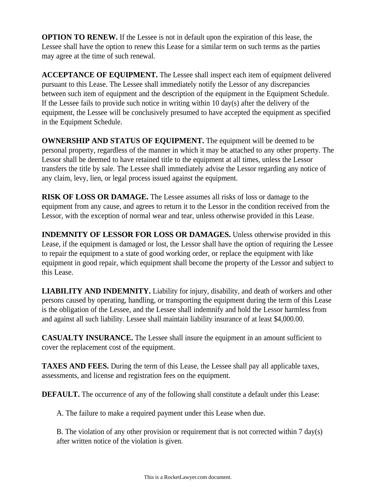**OPTION TO RENEW.** If the Lessee is not in default upon the expiration of this lease, the Lessee shall have the option to renew this Lease for a similar term on such terms as the parties may agree at the time of such renewal.

**ACCEPTANCE OF EQUIPMENT.** The Lessee shall inspect each item of equipment delivered pursuant to this Lease. The Lessee shall immediately notify the Lessor of any discrepancies between such item of equipment and the description of the equipment in the Equipment Schedule. If the Lessee fails to provide such notice in writing within 10 day(s) after the delivery of the equipment, the Lessee will be conclusively presumed to have accepted the equipment as specified in the Equipment Schedule.

**OWNERSHIP AND STATUS OF EQUIPMENT.** The equipment will be deemed to be personal property, regardless of the manner in which it may be attached to any other property. The Lessor shall be deemed to have retained title to the equipment at all times, unless the Lessor transfers the title by sale. The Lessee shall immediately advise the Lessor regarding any notice of any claim, levy, lien, or legal process issued against the equipment.

**RISK OF LOSS OR DAMAGE.** The Lessee assumes all risks of loss or damage to the equipment from any cause, and agrees to return it to the Lessor in the condition received from the Lessor, with the exception of normal wear and tear, unless otherwise provided in this Lease.

**INDEMNITY OF LESSOR FOR LOSS OR DAMAGES.** Unless otherwise provided in this Lease, if the equipment is damaged or lost, the Lessor shall have the option of requiring the Lessee to repair the equipment to a state of good working order, or replace the equipment with like equipment in good repair, which equipment shall become the property of the Lessor and subject to this Lease.

**LIABILITY AND INDEMNITY.** Liability for injury, disability, and death of workers and other persons caused by operating, handling, or transporting the equipment during the term of this Lease is the obligation of the Lessee, and the Lessee shall indemnify and hold the Lessor harmless from and against all such liability. Lessee shall maintain liability insurance of at least \$4,000.00.

**CASUALTY INSURANCE.** The Lessee shall insure the equipment in an amount sufficient to cover the replacement cost of the equipment.

**TAXES AND FEES.** During the term of this Lease, the Lessee shall pay all applicable taxes, assessments, and license and registration fees on the equipment.

**DEFAULT.** The occurrence of any of the following shall constitute a default under this Lease:

A. The failure to make a required payment under this Lease when due.

B. The violation of any other provision or requirement that is not corrected within 7 day(s) after written notice of the violation is given.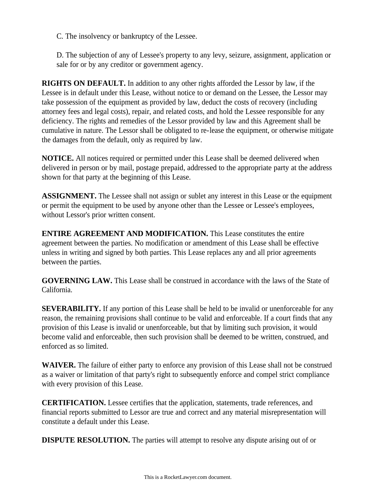C. The insolvency or bankruptcy of the Lessee.

D. The subjection of any of Lessee's property to any levy, seizure, assignment, application or sale for or by any creditor or government agency.

**RIGHTS ON DEFAULT.** In addition to any other rights afforded the Lessor by law, if the Lessee is in default under this Lease, without notice to or demand on the Lessee, the Lessor may take possession of the equipment as provided by law, deduct the costs of recovery (including attorney fees and legal costs), repair, and related costs, and hold the Lessee responsible for any deficiency. The rights and remedies of the Lessor provided by law and this Agreement shall be cumulative in nature. The Lessor shall be obligated to re-lease the equipment, or otherwise mitigate the damages from the default, only as required by law.

**NOTICE.** All notices required or permitted under this Lease shall be deemed delivered when delivered in person or by mail, postage prepaid, addressed to the appropriate party at the address shown for that party at the beginning of this Lease.

**ASSIGNMENT.** The Lessee shall not assign or sublet any interest in this Lease or the equipment or permit the equipment to be used by anyone other than the Lessee or Lessee's employees, without Lessor's prior written consent.

**ENTIRE AGREEMENT AND MODIFICATION.** This Lease constitutes the entire agreement between the parties. No modification or amendment of this Lease shall be effective unless in writing and signed by both parties. This Lease replaces any and all prior agreements between the parties.

**GOVERNING LAW.** This Lease shall be construed in accordance with the laws of the State of California.

**SEVERABILITY.** If any portion of this Lease shall be held to be invalid or unenforceable for any reason, the remaining provisions shall continue to be valid and enforceable. If a court finds that any provision of this Lease is invalid or unenforceable, but that by limiting such provision, it would become valid and enforceable, then such provision shall be deemed to be written, construed, and enforced as so limited.

**WAIVER.** The failure of either party to enforce any provision of this Lease shall not be construed as a waiver or limitation of that party's right to subsequently enforce and compel strict compliance with every provision of this Lease.

**CERTIFICATION.** Lessee certifies that the application, statements, trade references, and financial reports submitted to Lessor are true and correct and any material misrepresentation will constitute a default under this Lease.

**DISPUTE RESOLUTION.** The parties will attempt to resolve any dispute arising out of or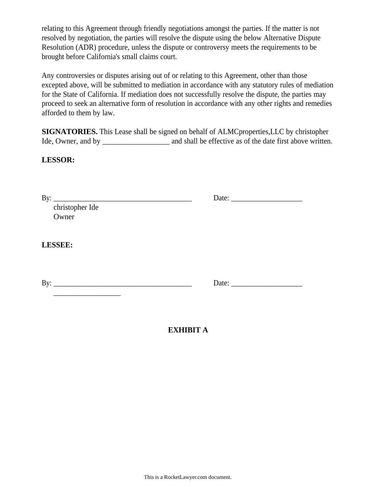relating to this Agreement through friendly negotiations amongst the parties. If the matter is not resolved by negotiation, the parties will resolve the dispute using the below Alternative Dispute Resolution (ADR) procedure, unless the dispute or controversy meets the requirements to be brought before California's small claims court.

Any controversies or disputes arising out of or relating to this Agreement, other than those excepted above, will be submitted to mediation in accordance with any statutory rules of mediation for the State of California. If mediation does not successfully resolve the dispute, the parties may proceed to seek an alternative form of resolution in accordance with any other rights and remedies afforded to them by law.

**SIGNATORIES.** This Lease shall be signed on behalf of ALMCproperties,LLC by christopher Ide, Owner, and by \_\_\_\_\_\_\_\_\_\_\_\_\_\_\_\_\_ and shall be effective as of the date first above written.

## **LESSOR:**

| christopher Ide     |  |
|---------------------|--|
| Owner               |  |
|                     |  |
| <b>LESSEE:</b>      |  |
| By: $\qquad \qquad$ |  |
|                     |  |
|                     |  |
|                     |  |

## **EXHIBIT A**